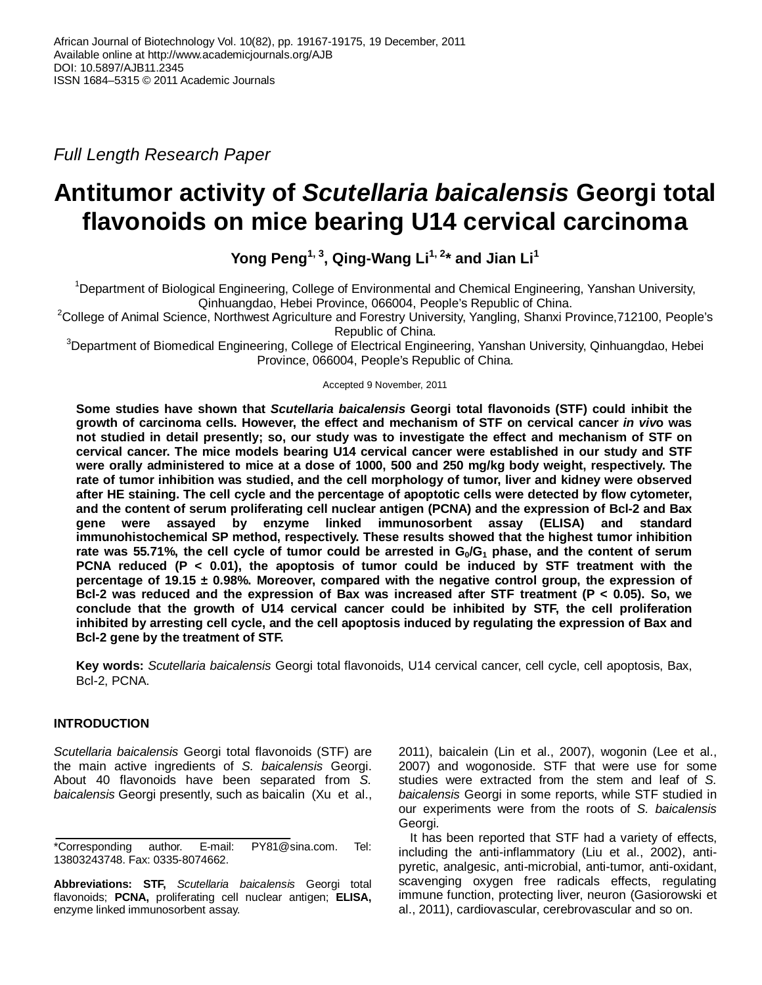Full Length Research Paper

# **Antitumor activity of Scutellaria baicalensis Georgi total flavonoids on mice bearing U14 cervical carcinoma**

**Yong Peng1, 3, Qing-Wang Li1, 2\* and Jian Li<sup>1</sup>**

<sup>1</sup>Department of Biological Engineering, College of Environmental and Chemical Engineering, Yanshan University, Qinhuangdao, Hebei Province, 066004, People's Republic of China.

<sup>2</sup>College of Animal Science, Northwest Agriculture and Forestry University, Yangling, Shanxi Province,712100, People's Republic of China.

<sup>3</sup>Department of Biomedical Engineering, College of Electrical Engineering, Yanshan University, Qinhuangdao, Hebei Province, 066004, People's Republic of China.

Accepted 9 November, 2011

**Some studies have shown that Scutellaria baicalensis Georgi total flavonoids (STF) could inhibit the growth of carcinoma cells. However, the effect and mechanism of STF on cervical cancer in vivo was not studied in detail presently; so, our study was to investigate the effect and mechanism of STF on cervical cancer. The mice models bearing U14 cervical cancer were established in our study and STF were orally administered to mice at a dose of 1000, 500 and 250 mg/kg body weight, respectively. The rate of tumor inhibition was studied, and the cell morphology of tumor, liver and kidney were observed after HE staining. The cell cycle and the percentage of apoptotic cells were detected by flow cytometer, and the content of serum proliferating cell nuclear antigen (PCNA) and the expression of Bcl-2 and Bax gene were assayed by enzyme linked immunosorbent assay (ELISA) and standard immunohistochemical SP method, respectively. These results showed that the highest tumor inhibition rate was 55.71%, the cell cycle of tumor could be arrested in G0/G1 phase, and the content of serum PCNA reduced (P < 0.01), the apoptosis of tumor could be induced by STF treatment with the percentage of 19.15 ± 0.98%. Moreover, compared with the negative control group, the expression of Bcl-2 was reduced and the expression of Bax was increased after STF treatment (P < 0.05). So, we conclude that the growth of U14 cervical cancer could be inhibited by STF, the cell proliferation inhibited by arresting cell cycle, and the cell apoptosis induced by regulating the expression of Bax and Bcl-2 gene by the treatment of STF.** 

**Key words:** Scutellaria baicalensis Georgi total flavonoids, U14 cervical cancer, cell cycle, cell apoptosis, Bax, Bcl-2, PCNA.

## **INTRODUCTION**

Scutellaria baicalensis Georgi total flavonoids (STF) are the main active ingredients of S. baicalensis Georgi. About 40 flavonoids have been separated from S. baicalensis Georgi presently, such as baicalin (Xu et al.,

**Abbreviations: STF,** Scutellaria baicalensis Georgi total flavonoids; **PCNA,** proliferating cell nuclear antigen; **ELISA,** enzyme linked immunosorbent assay.

2011), baicalein (Lin et al., 2007), wogonin (Lee et al., 2007) and wogonoside. STF that were use for some studies were extracted from the stem and leaf of S. baicalensis Georgi in some reports, while STF studied in our experiments were from the roots of S. baicalensis Georgi.

It has been reported that STF had a variety of effects, including the anti-inflammatory (Liu et al., 2002), antipyretic, analgesic, anti-microbial, anti-tumor, anti-oxidant, scavenging oxygen free radicals effects, regulating immune function, protecting liver, neuron (Gasiorowski et al., 2011), cardiovascular, cerebrovascular and so on.

<sup>\*</sup>Corresponding author. E-mail: PY81@sina.com. Tel: 13803243748. Fax: 0335-8074662.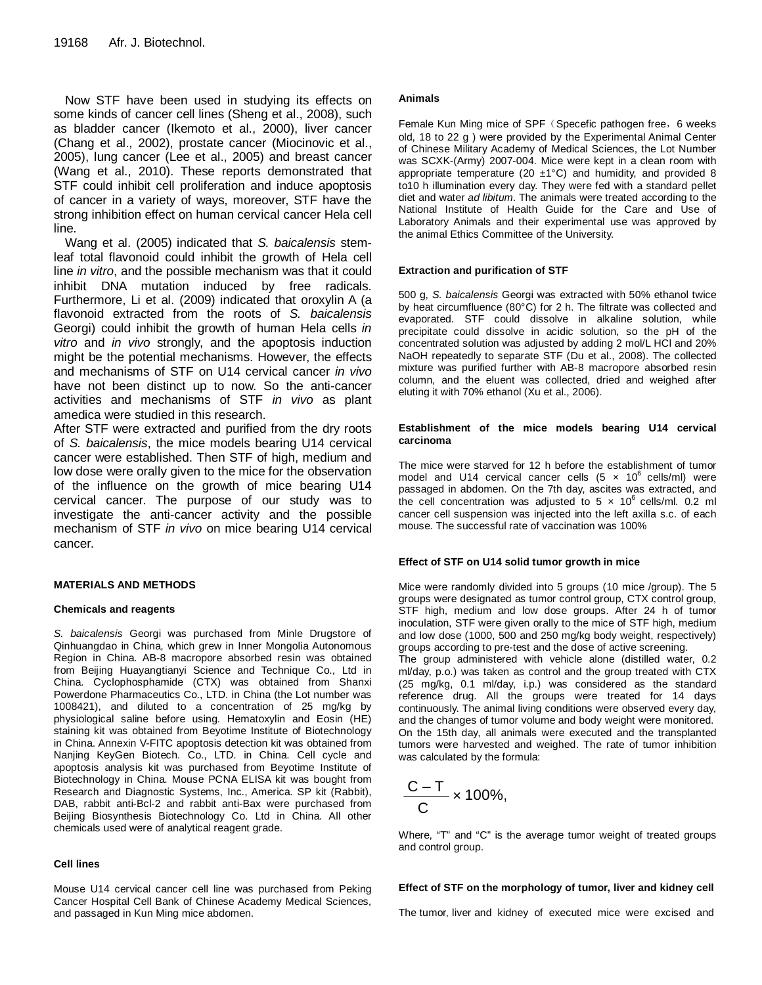Now STF have been used in studying its effects on some kinds of cancer cell lines (Sheng et al., 2008), such as bladder cancer (Ikemoto et al., 2000), liver cancer (Chang et al., 2002), prostate cancer (Miocinovic et al., 2005), lung cancer (Lee et al., 2005) and breast cancer (Wang et al., 2010). These reports demonstrated that STF could inhibit cell proliferation and induce apoptosis of cancer in a variety of ways, moreover, STF have the strong inhibition effect on human cervical cancer Hela cell line.

Wang et al. (2005) indicated that S. baicalensis stemleaf total flavonoid could inhibit the growth of Hela cell line in vitro, and the possible mechanism was that it could inhibit DNA mutation induced by free radicals. Furthermore, Li et al. (2009) indicated that oroxylin A (a flavonoid extracted from the roots of S. baicalensis Georgi) could inhibit the growth of human Hela cells in vitro and in vivo strongly, and the apoptosis induction might be the potential mechanisms. However, the effects and mechanisms of STF on U14 cervical cancer in vivo have not been distinct up to now. So the anti-cancer activities and mechanisms of STF in vivo as plant amedica were studied in this research.

After STF were extracted and purified from the dry roots of S. baicalensis, the mice models bearing U14 cervical cancer were established. Then STF of high, medium and low dose were orally given to the mice for the observation of the influence on the growth of mice bearing U14 cervical cancer. The purpose of our study was to investigate the anti-cancer activity and the possible mechanism of STF in vivo on mice bearing U14 cervical cancer.

#### **MATERIALS AND METHODS**

#### **Chemicals and reagents**

S. baicalensis Georgi was purchased from Minle Drugstore of Qinhuangdao in China, which grew in Inner Mongolia Autonomous Region in China. AB-8 macropore absorbed resin was obtained from Beijing Huayangtianyi Science and Technique Co., Ltd in China. Cyclophosphamide (CTX) was obtained from Shanxi Powerdone Pharmaceutics Co., LTD. in China (the Lot number was 1008421), and diluted to a concentration of 25 mg/kg by physiological saline before using. Hematoxylin and Eosin (HE) staining kit was obtained from Beyotime Institute of Biotechnology in China. Annexin V-FITC apoptosis detection kit was obtained from Nanjing KeyGen Biotech. Co., LTD. in China. Cell cycle and apoptosis analysis kit was purchased from Beyotime Institute of Biotechnology in China. Mouse PCNA ELISA kit was bought from Research and Diagnostic Systems, Inc., America. SP kit (Rabbit), DAB, rabbit anti-Bcl-2 and rabbit anti-Bax were purchased from Beijing Biosynthesis Biotechnology Co. Ltd in China. All other chemicals used were of analytical reagent grade.

### **Cell lines**

Mouse U14 cervical cancer cell line was purchased from Peking Cancer Hospital Cell Bank of Chinese Academy Medical Sciences, and passaged in Kun Ming mice abdomen.

#### **Animals**

Female Kun Ming mice of SPF (Specefic pathogen free, 6 weeks old, 18 to 22 g ) were provided by the Experimental Animal Center of Chinese Military Academy of Medical Sciences, the Lot Number was SCXK-(Army) 2007-004. Mice were kept in a clean room with appropriate temperature (20  $\pm$ 1°C) and humidity, and provided 8 to10 h illumination every day. They were fed with a standard pellet diet and water ad libitum. The animals were treated according to the National Institute of Health Guide for the Care and Use of Laboratory Animals and their experimental use was approved by the animal Ethics Committee of the University.

## **Extraction and purification of STF**

500 g, S. baicalensis Georgi was extracted with 50% ethanol twice by heat circumfluence (80°C) for 2 h. The filtrate was collected and evaporated. STF could dissolve in alkaline solution, while precipitate could dissolve in acidic solution, so the pH of the concentrated solution was adjusted by adding 2 mol/L HCl and 20% NaOH repeatedly to separate STF (Du et al., 2008). The collected mixture was purified further with AB-8 macropore absorbed resin column, and the eluent was collected, dried and weighed after eluting it with 70% ethanol (Xu et al., 2006).

#### **Establishment of the mice models bearing U14 cervical carcinoma**

The mice were starved for 12 h before the establishment of tumor model and U14 cervical cancer cells  $(5 \times 10^6 \text{ cells/ml})$  were passaged in abdomen. On the 7th day, ascites was extracted, and the cell concentration was adjusted to  $5 \times 10^6$  cells/ml. 0.2 ml cancer cell suspension was injected into the left axilla s.c. of each mouse. The successful rate of vaccination was 100%

#### **Effect of STF on U14 solid tumor growth in mice**

Mice were randomly divided into 5 groups (10 mice /group). The 5 groups were designated as tumor control group, CTX control group, STF high, medium and low dose groups. After 24 h of tumor inoculation, STF were given orally to the mice of STF high, medium and low dose (1000, 500 and 250 mg/kg body weight, respectively) groups according to pre-test and the dose of active screening.

The group administered with vehicle alone (distilled water, 0.2 ml/day, p.o.) was taken as control and the group treated with CTX (25 mg/kg, 0.1 ml/day, i.p.) was considered as the standard reference drug. All the groups were treated for 14 days continuously. The animal living conditions were observed every day, and the changes of tumor volume and body weight were monitored. On the 15th day, all animals were executed and the transplanted tumors were harvested and weighed. The rate of tumor inhibition was calculated by the formula:

$$
\frac{C-T}{C} \times 100\%.
$$

Where, "T" and "C" is the average tumor weight of treated groups and control group.

#### **Effect of STF on the morphology of tumor, liver and kidney cell**

The tumor, liver and kidney of executed mice were excised and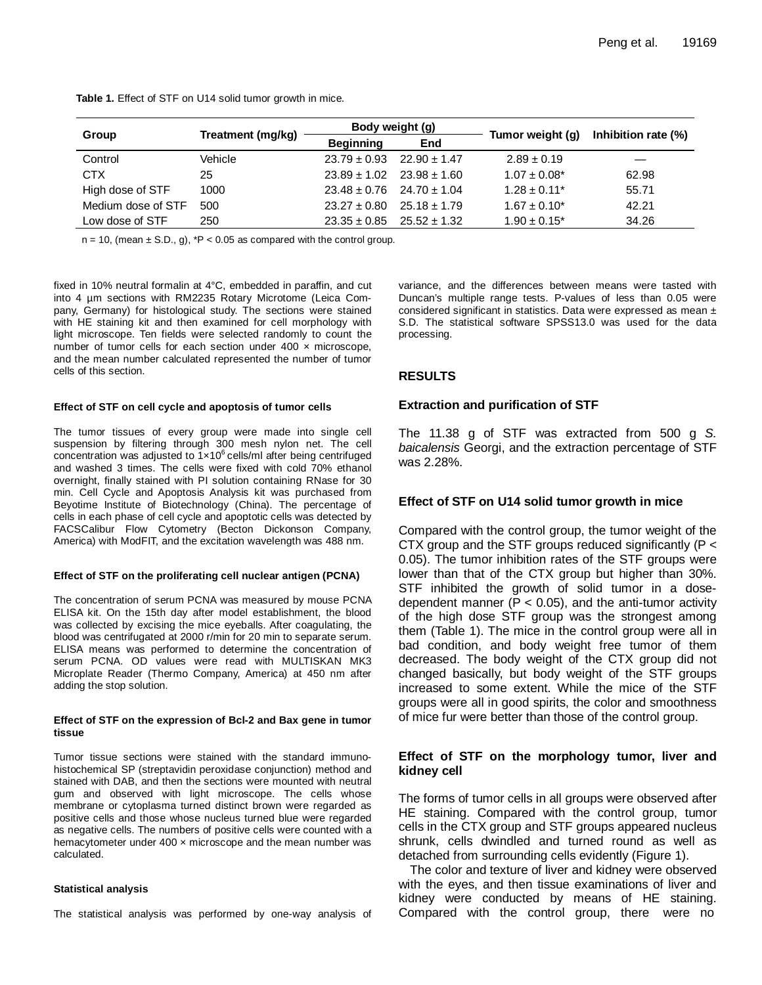| <b>Table 1.</b> Effect of STF on U14 solid tumor growth in mice. |  |
|------------------------------------------------------------------|--|
|------------------------------------------------------------------|--|

|                    | Treatment (mg/kg) | Body weight (g)                   |                  |                   |                     |
|--------------------|-------------------|-----------------------------------|------------------|-------------------|---------------------|
| Group              |                   | <b>Beginning</b>                  | End              | Tumor weight (g)  | Inhibition rate (%) |
| Control            | Vehicle           | $23.79 \pm 0.93$                  | $22.90 \pm 1.47$ | $2.89 \pm 0.19$   |                     |
| <b>CTX</b>         | 25                | $23.89 \pm 1.02$                  | $23.98 + 1.60$   | $1.07 \pm 0.08^*$ | 62.98               |
| High dose of STF   | 1000              | $23.48 \pm 0.76$ 24.70 $\pm$ 1.04 |                  | $1.28 \pm 0.11^*$ | 55.71               |
| Medium dose of STF | 500               | $23.27 \pm 0.80$                  | $25.18 \pm 1.79$ | $1.67 \pm 0.10^*$ | 42.21               |
| Low dose of STF    | 250               | $23.35 \pm 0.85$                  | $25.52 \pm 1.32$ | $1.90 \pm 0.15^*$ | 34.26               |

 $n = 10$ , (mean  $\pm$  S.D., g),  $*P < 0.05$  as compared with the control group.

fixed in 10% neutral formalin at 4°C, embedded in paraffin, and cut into 4 µm sections with RM2235 Rotary Microtome (Leica Company, Germany) for histological study. The sections were stained with HE staining kit and then examined for cell morphology with light microscope. Ten fields were selected randomly to count the number of tumor cells for each section under  $400 \times$  microscope, and the mean number calculated represented the number of tumor cells of this section.

#### **Effect of STF on cell cycle and apoptosis of tumor cells**

The tumor tissues of every group were made into single cell suspension by filtering through 300 mesh nylon net. The cell concentration was adjusted to  $1 \times 10^6$  cells/ml after being centrifuged and washed 3 times. The cells were fixed with cold 70% ethanol overnight, finally stained with PI solution containing RNase for 30 min. Cell Cycle and Apoptosis Analysis kit was purchased from Beyotime Institute of Biotechnology (China). The percentage of cells in each phase of cell cycle and apoptotic cells was detected by FACSCalibur Flow Cytometry (Becton Dickonson Company, America) with ModFIT, and the excitation wavelength was 488 nm.

#### **Effect of STF on the proliferating cell nuclear antigen (PCNA)**

The concentration of serum PCNA was measured by mouse PCNA ELISA kit. On the 15th day after model establishment, the blood was collected by excising the mice eyeballs. After coagulating, the blood was centrifugated at 2000 r/min for 20 min to separate serum. ELISA means was performed to determine the concentration of serum PCNA. OD values were read with MULTISKAN MK3 Microplate Reader (Thermo Company, America) at 450 nm after adding the stop solution.

#### **Effect of STF on the expression of Bcl-2 and Bax gene in tumor tissue**

Tumor tissue sections were stained with the standard immunohistochemical SP (streptavidin peroxidase conjunction) method and stained with DAB, and then the sections were mounted with neutral gum and observed with light microscope. The cells whose membrane or cytoplasma turned distinct brown were regarded as positive cells and those whose nucleus turned blue were regarded as negative cells. The numbers of positive cells were counted with a hemacytometer under  $400 \times$  microscope and the mean number was calculated.

#### **Statistical analysis**

The statistical analysis was performed by one-way analysis of

variance, and the differences between means were tasted with Duncan's multiple range tests. P-values of less than 0.05 were considered significant in statistics. Data were expressed as mean ± S.D. The statistical software SPSS13.0 was used for the data processing.

## **RESULTS**

#### **Extraction and purification of STF**

The 11.38 g of STF was extracted from 500 g S. baicalensis Georgi, and the extraction percentage of STF was 2.28%.

## **Effect of STF on U14 solid tumor growth in mice**

Compared with the control group, the tumor weight of the CTX group and the STF groups reduced significantly (P < 0.05). The tumor inhibition rates of the STF groups were lower than that of the CTX group but higher than 30%. STF inhibited the growth of solid tumor in a dosedependent manner ( $P < 0.05$ ), and the anti-tumor activity of the high dose STF group was the strongest among them (Table 1). The mice in the control group were all in bad condition, and body weight free tumor of them decreased. The body weight of the CTX group did not changed basically, but body weight of the STF groups increased to some extent. While the mice of the STF groups were all in good spirits, the color and smoothness of mice fur were better than those of the control group.

## **Effect of STF on the morphology tumor, liver and kidney cell**

The forms of tumor cells in all groups were observed after HE staining. Compared with the control group, tumor cells in the CTX group and STF groups appeared nucleus shrunk, cells dwindled and turned round as well as detached from surrounding cells evidently (Figure 1).

The color and texture of liver and kidney were observed with the eyes, and then tissue examinations of liver and kidney were conducted by means of HE staining. Compared with the control group, there were no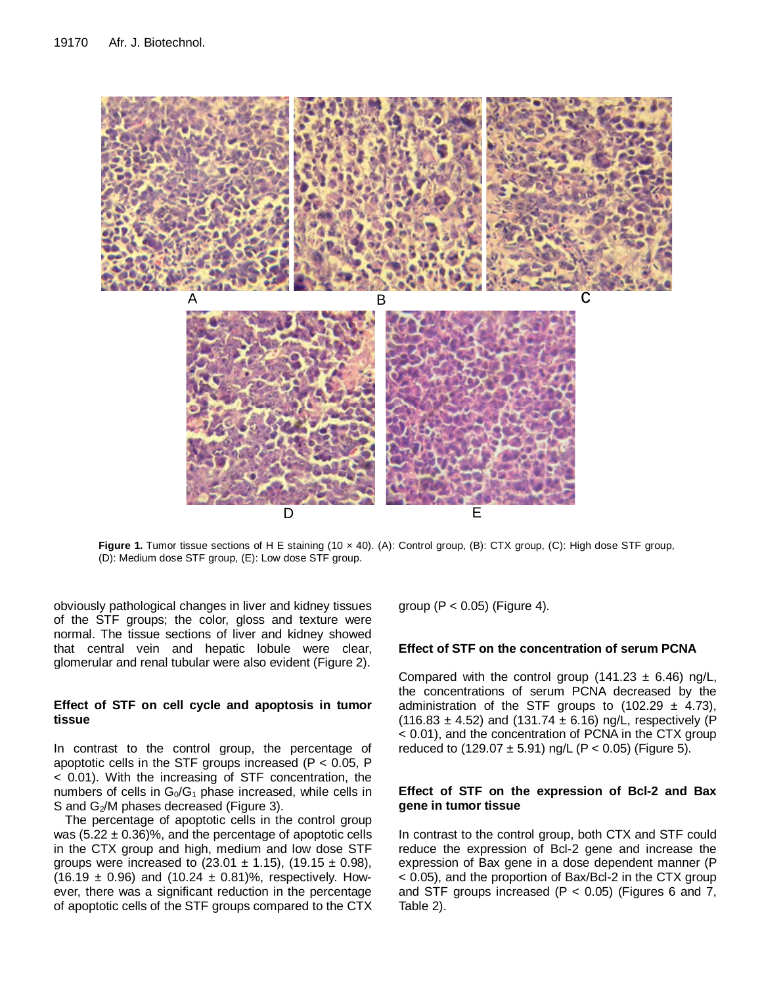

Figure 1. Tumor tissue sections of H E staining (10 x 40). (A): Control group, (B): CTX group, (C): High dose STF group, (D): Medium dose STF group, (E): Low dose STF group.

obviously pathological changes in liver and kidney tissues of the STF groups; the color, gloss and texture were normal. The tissue sections of liver and kidney showed that central vein and hepatic lobule were clear, glomerular and renal tubular were also evident (Figure 2).

## **Effect of STF on cell cycle and apoptosis in tumor tissue**

In contrast to the control group, the percentage of apoptotic cells in the STF groups increased ( $P < 0.05$ , P < 0.01). With the increasing of STF concentration, the numbers of cells in  $G_0/G_1$  phase increased, while cells in S and G<sub>2</sub>/M phases decreased (Figure 3).

The percentage of apoptotic cells in the control group was  $(5.22 \pm 0.36)\%$ , and the percentage of apoptotic cells in the CTX group and high, medium and low dose STF groups were increased to  $(23.01 \pm 1.15)$ ,  $(19.15 \pm 0.98)$ ,  $(16.19 \pm 0.96)$  and  $(10.24 \pm 0.81)\%$ , respectively. However, there was a significant reduction in the percentage of apoptotic cells of the STF groups compared to the CTX group  $(P < 0.05)$  (Figure 4).

## **Effect of STF on the concentration of serum PCNA**

Compared with the control group (141.23  $\pm$  6.46) ng/L, the concentrations of serum PCNA decreased by the administration of the STF groups to  $(102.29 \pm 4.73)$ , (116.83  $\pm$  4.52) and (131.74  $\pm$  6.16) ng/L, respectively (P < 0.01), and the concentration of PCNA in the CTX group reduced to  $(129.07 \pm 5.91)$  ng/L  $(P < 0.05)$  (Figure 5).

## **Effect of STF on the expression of Bcl-2 and Bax gene in tumor tissue**

In contrast to the control group, both CTX and STF could reduce the expression of Bcl-2 gene and increase the expression of Bax gene in a dose dependent manner (P < 0.05), and the proportion of Bax/Bcl-2 in the CTX group and STF groups increased ( $P < 0.05$ ) (Figures 6 and 7, Table 2).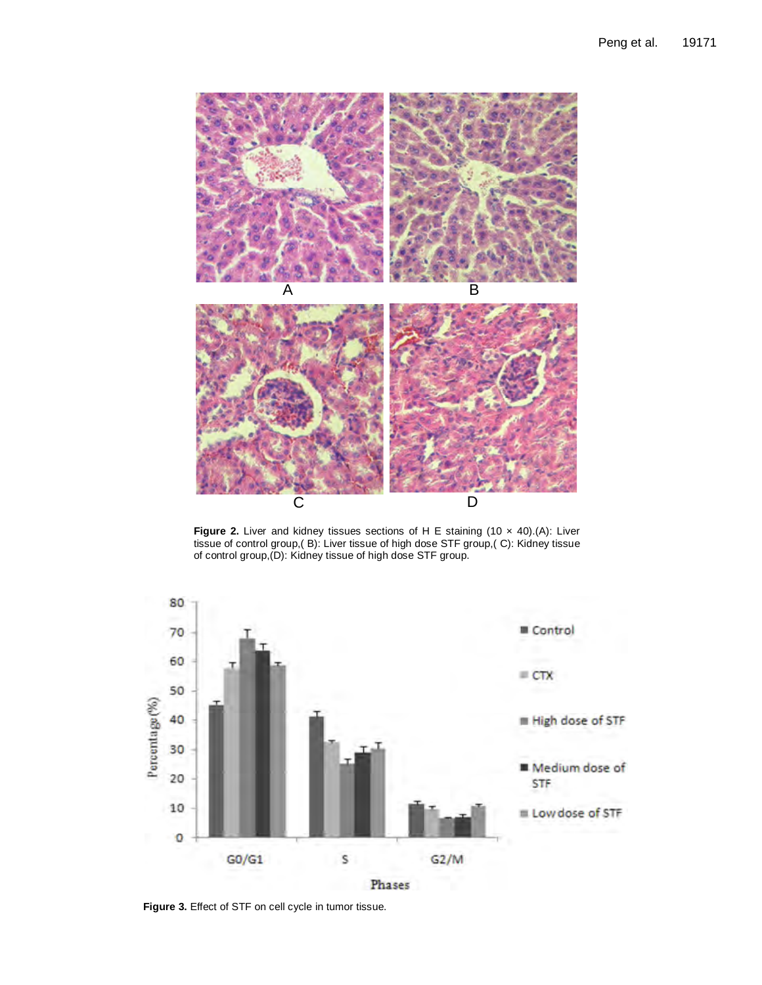

**Figure 2.** Liver and kidney tissues sections of H E staining (10 x 40).(A): Liver tissue of control group,( B): Liver tissue of high dose STF group,( C): Kidney tissue of control group,(D): Kidney tissue of high dose STF group.



**Figure 3.** Effect of STF on cell cycle in tumor tissue.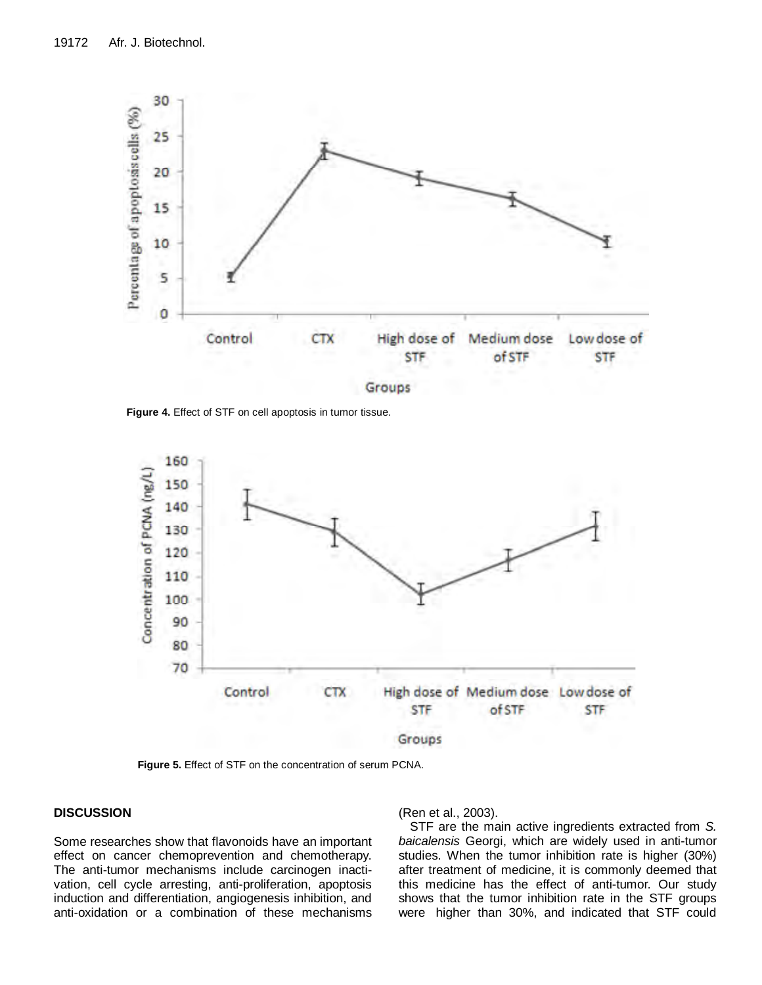

**Figure 4.** Effect of STF on cell apoptosis in tumor tissue.



**Figure 5.** Effect of STF on the concentration of serum PCNA.

## **DISCUSSION**

Some researches show that flavonoids have an important effect on cancer chemoprevention and chemotherapy. The anti-tumor mechanisms include carcinogen inactivation, cell cycle arresting, anti-proliferation, apoptosis induction and differentiation, angiogenesis inhibition, and anti-oxidation or a combination of these mechanisms (Ren et al., 2003).

STF are the main active ingredients extracted from S. baicalensis Georgi, which are widely used in anti-tumor studies. When the tumor inhibition rate is higher (30%) after treatment of medicine, it is commonly deemed that this medicine has the effect of anti-tumor. Our study shows that the tumor inhibition rate in the STF groups were higher than 30%, and indicated that STF could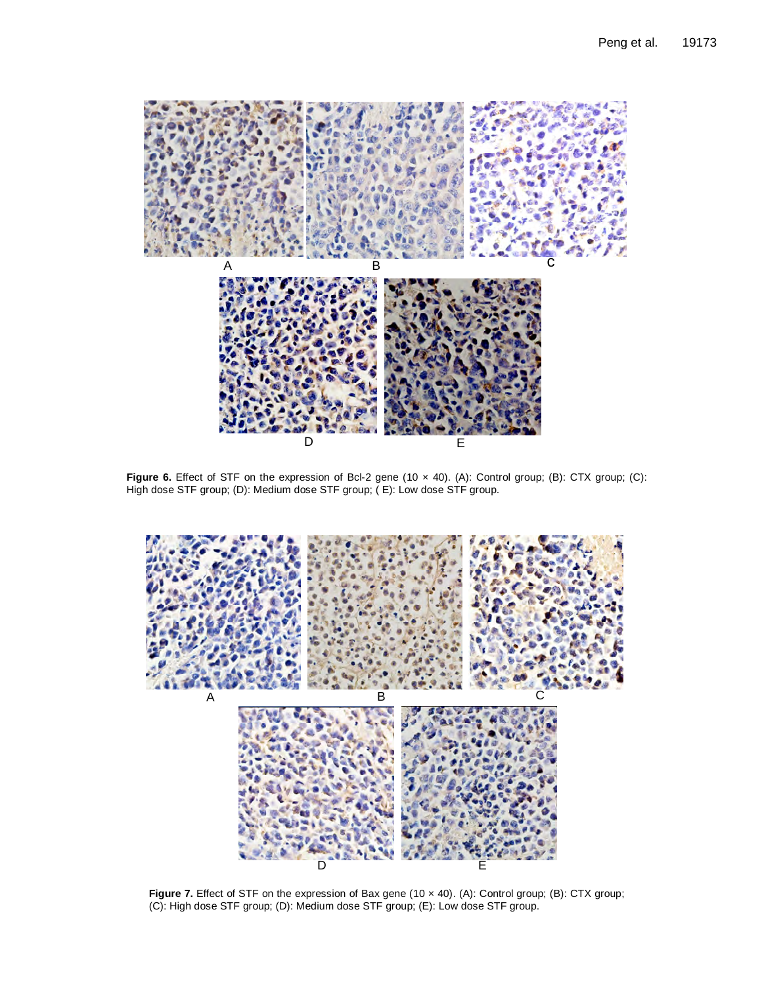

**Figure 6.** Effect of STF on the expression of Bcl-2 gene (10 x 40). (A): Control group; (B): CTX group; (C): High dose STF group; (D): Medium dose STF group; ( E): Low dose STF group.



**Figure 7.** Effect of STF on the expression of Bax gene (10 x 40). (A): Control group; (B): CTX group; (C): High dose STF group; (D): Medium dose STF group; (E): Low dose STF group.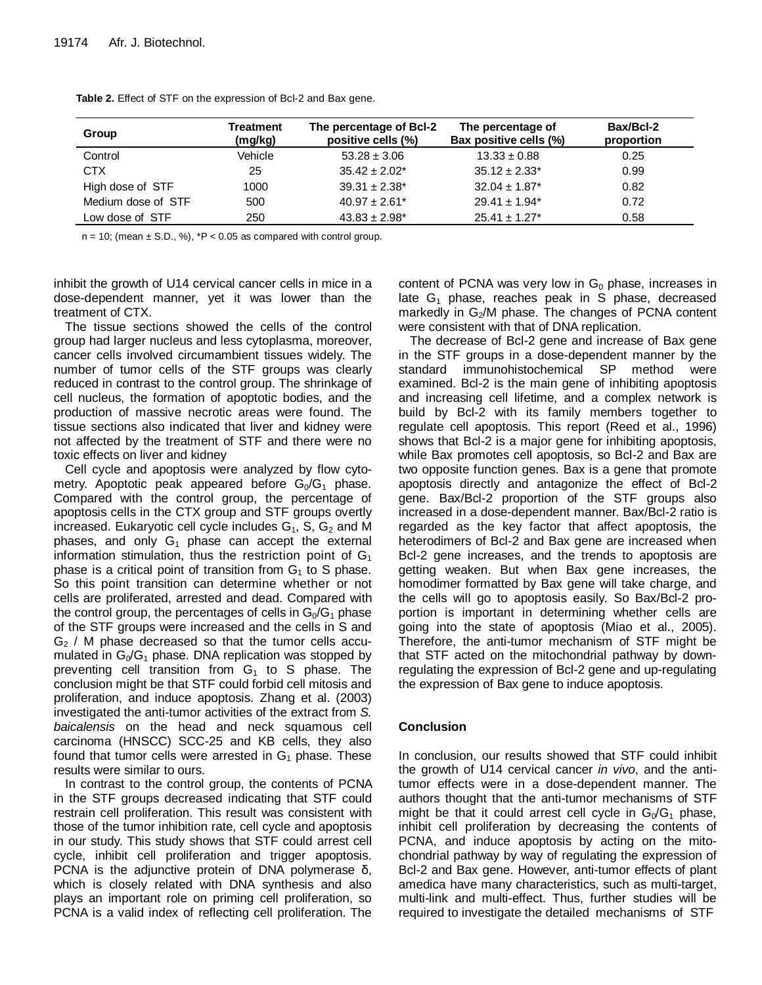| Group              | Treatment<br>(mg/kg) | The percentage of Bcl-2<br>positive cells (%) | The percentage of<br>Bax positive cells (%) | Bax/Bcl-2<br>proportion |
|--------------------|----------------------|-----------------------------------------------|---------------------------------------------|-------------------------|
| Control            | Vehicle              | $53.28 \pm 3.06$                              | $13.33 \pm 0.88$                            | 0.25                    |
| <b>CTX</b>         | 25                   | $35.42 \pm 2.02^*$                            | $35.12 \pm 2.33^*$                          | 0.99                    |
| High dose of STF   | 1000                 | $39.31 \pm 2.38^*$                            | $32.04 \pm 1.87$ <sup>*</sup>               | 0.82                    |
| Medium dose of STF | 500                  | $40.97 \pm 2.61$ <sup>*</sup>                 | $29.41 \pm 1.94$ <sup>*</sup>               | 0.72                    |
| Low dose of STF    | 250                  | $43.83 \pm 2.98^*$                            | $25.41 \pm 1.27$ *                          | 0.58                    |

**Table 2.** Effect of STF on the expression of Bcl-2 and Bax gene.

 $n = 10$ ; (mean  $\pm$  S.D., %), \*P < 0.05 as compared with control group.

inhibit the growth of U14 cervical cancer cells in mice in a dose-dependent manner, yet it was lower than the treatment of CTX.

The tissue sections showed the cells of the control group had larger nucleus and less cytoplasma, moreover, cancer cells involved circumambient tissues widely. The number of tumor cells of the STF groups was clearly reduced in contrast to the control group. The shrinkage of cell nucleus, the formation of apoptotic bodies, and the production of massive necrotic areas were found. The tissue sections also indicated that liver and kidney were not affected by the treatment of STF and there were no toxic effects on liver and kidney

Cell cycle and apoptosis were analyzed by flow cytometry. Apoptotic peak appeared before  $G_0/G_1$  phase. Compared with the control group, the percentage of apoptosis cells in the CTX group and STF groups overtly increased. Eukaryotic cell cycle includes  $G_1$ , S,  $G_2$  and M phases, and only  $G_1$  phase can accept the external information stimulation, thus the restriction point of  $G_1$ phase is a critical point of transition from  $G_1$  to S phase. So this point transition can determine whether or not cells are proliferated, arrested and dead. Compared with the control group, the percentages of cells in  $G_0/G_1$  phase of the STF groups were increased and the cells in S and  $G<sub>2</sub>$  / M phase decreased so that the tumor cells accumulated in  $G_0/G_1$  phase. DNA replication was stopped by preventing cell transition from  $G_1$  to S phase. The conclusion might be that STF could forbid cell mitosis and proliferation, and induce apoptosis. Zhang et al. (2003) investigated the anti-tumor activities of the extract from S. baicalensis on the head and neck squamous cell carcinoma (HNSCC) SCC-25 and KB cells, they also found that tumor cells were arrested in  $G_1$  phase. These results were similar to ours.

In contrast to the control group, the contents of PCNA in the STF groups decreased indicating that STF could restrain cell proliferation. This result was consistent with those of the tumor inhibition rate, cell cycle and apoptosis in our study. This study shows that STF could arrest cell cycle, inhibit cell proliferation and trigger apoptosis. PCNA is the adjunctive protein of DNA polymerase δ, which is closely related with DNA synthesis and also plays an important role on priming cell proliferation, so PCNA is a valid index of reflecting cell proliferation. The

content of PCNA was very low in  $G_0$  phase, increases in late  $G_1$  phase, reaches peak in S phase, decreased markedly in G<sub>2</sub>/M phase. The changes of PCNA content were consistent with that of DNA replication.

The decrease of Bcl-2 gene and increase of Bax gene in the STF groups in a dose-dependent manner by the standard immunohistochemical SP method were examined. Bcl-2 is the main gene of inhibiting apoptosis and increasing cell lifetime, and a complex network is build by Bcl-2 with its family members together to regulate cell apoptosis. This report (Reed et al., 1996) shows that Bcl-2 is a major gene for inhibiting apoptosis, while Bax promotes cell apoptosis, so Bcl-2 and Bax are two opposite function genes. Bax is a gene that promote apoptosis directly and antagonize the effect of Bcl-2 gene. Bax/Bcl-2 proportion of the STF groups also increased in a dose-dependent manner. Bax/Bcl-2 ratio is regarded as the key factor that affect apoptosis, the heterodimers of Bcl-2 and Bax gene are increased when Bcl-2 gene increases, and the trends to apoptosis are getting weaken. But when Bax gene increases, the homodimer formatted by Bax gene will take charge, and the cells will go to apoptosis easily. So Bax/Bcl-2 proportion is important in determining whether cells are going into the state of apoptosis (Miao et al., 2005). Therefore, the anti-tumor mechanism of STF might be that STF acted on the mitochondrial pathway by downregulating the expression of Bcl-2 gene and up-regulating the expression of Bax gene to induce apoptosis.

## **Conclusion**

In conclusion, our results showed that STF could inhibit the growth of U14 cervical cancer in vivo, and the antitumor effects were in a dose-dependent manner. The authors thought that the anti-tumor mechanisms of STF might be that it could arrest cell cycle in  $G_0/G_1$  phase, inhibit cell proliferation by decreasing the contents of PCNA, and induce apoptosis by acting on the mitochondrial pathway by way of regulating the expression of Bcl-2 and Bax gene. However, anti-tumor effects of plant amedica have many characteristics, such as multi-target, multi-link and multi-effect. Thus, further studies will be required to investigate the detailed mechanisms of STF